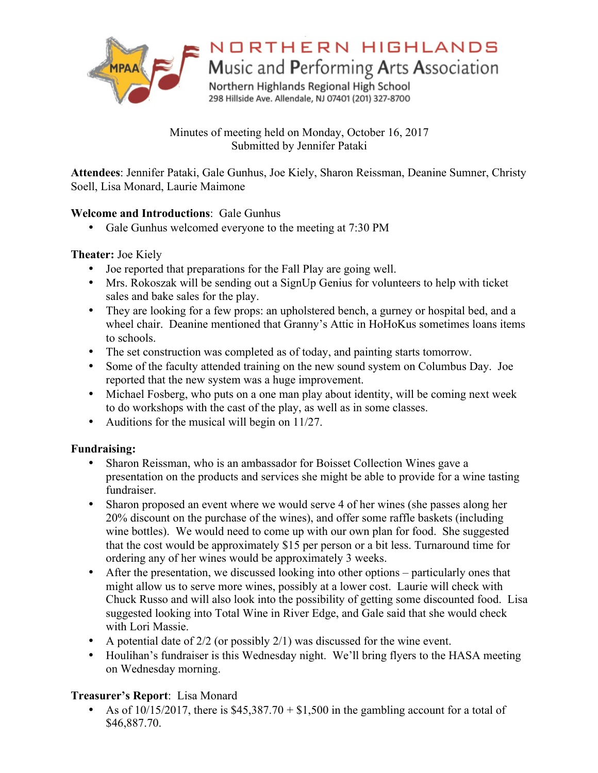

# NORTHERN HIGHLANDS

Music and Performing Arts Association

Northern Highlands Regional High School 298 Hillside Ave. Allendale, NJ 07401 (201) 327-8700

Minutes of meeting held on Monday, October 16, 2017 Submitted by Jennifer Pataki

**Attendees**: Jennifer Pataki, Gale Gunhus, Joe Kiely, Sharon Reissman, Deanine Sumner, Christy Soell, Lisa Monard, Laurie Maimone

# **Welcome and Introductions**: Gale Gunhus

• Gale Gunhus welcomed everyone to the meeting at 7:30 PM

### **Theater:** Joe Kiely

- Joe reported that preparations for the Fall Play are going well.
- Mrs. Rokoszak will be sending out a SignUp Genius for volunteers to help with ticket sales and bake sales for the play.
- They are looking for a few props: an upholstered bench, a gurney or hospital bed, and a wheel chair. Deanine mentioned that Granny's Attic in HoHoKus sometimes loans items to schools.
- The set construction was completed as of today, and painting starts tomorrow.
- Some of the faculty attended training on the new sound system on Columbus Day. Joe reported that the new system was a huge improvement.
- Michael Fosberg, who puts on a one man play about identity, will be coming next week to do workshops with the cast of the play, as well as in some classes.
- Auditions for the musical will begin on 11/27.

# **Fundraising:**

- Sharon Reissman, who is an ambassador for Boisset Collection Wines gave a presentation on the products and services she might be able to provide for a wine tasting fundraiser.
- Sharon proposed an event where we would serve 4 of her wines (she passes along her 20% discount on the purchase of the wines), and offer some raffle baskets (including wine bottles). We would need to come up with our own plan for food. She suggested that the cost would be approximately \$15 per person or a bit less. Turnaround time for ordering any of her wines would be approximately 3 weeks.
- After the presentation, we discussed looking into other options particularly ones that might allow us to serve more wines, possibly at a lower cost. Laurie will check with Chuck Russo and will also look into the possibility of getting some discounted food. Lisa suggested looking into Total Wine in River Edge, and Gale said that she would check with Lori Massie.
- A potential date of  $2/2$  (or possibly  $2/1$ ) was discussed for the wine event.
- Houlihan's fundraiser is this Wednesday night. We'll bring flyers to the HASA meeting on Wednesday morning.

# **Treasurer's Report**: Lisa Monard

As of 10/15/2017, there is  $$45,387.70 + $1,500$  in the gambling account for a total of \$46,887.70.